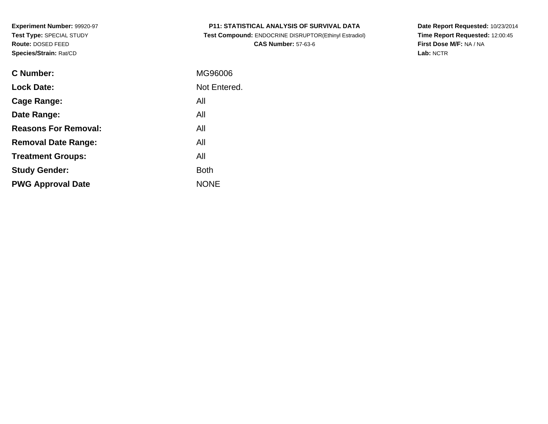| <b>P11: STATISTICAL ANALYSIS OF SURVIVAL DATA</b> |
|---------------------------------------------------|
|---------------------------------------------------|

 **Test Compound:** ENDOCRINE DISRUPTOR(Ethinyl Estradiol)**CAS Number:** 57-63-6

**Date Report Requested:** 10/23/2014 **Time Report Requested:** 12:00:45**First Dose M/F:** NA / NA**Lab:** NCTR

| C Number:                   | MG96006      |
|-----------------------------|--------------|
| <b>Lock Date:</b>           | Not Entered. |
| Cage Range:                 | All          |
| Date Range:                 | All          |
| <b>Reasons For Removal:</b> | All          |
| <b>Removal Date Range:</b>  | All          |
| <b>Treatment Groups:</b>    | All          |
| <b>Study Gender:</b>        | <b>Both</b>  |
| <b>PWG Approval Date</b>    | <b>NONE</b>  |
|                             |              |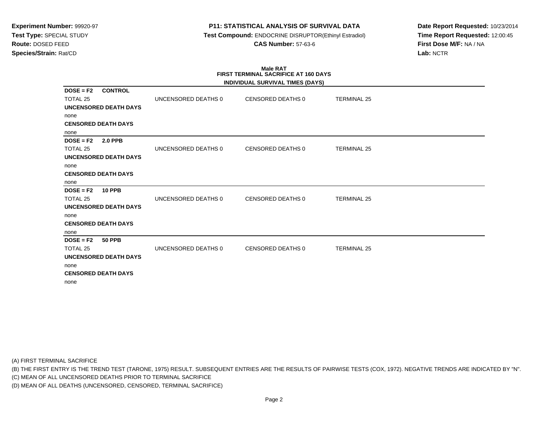# **P11: STATISTICAL ANALYSIS OF SURVIVAL DATA**

 **Test Compound:** ENDOCRINE DISRUPTOR(Ethinyl Estradiol)**CAS Number:** 57-63-6

**Date Report Requested:** 10/23/2014**Time Report Requested:** 12:00:45**First Dose M/F:** NA / NA**Lab:** NCTR

#### **Male RAT FIRST TERMINAL SACRIFICE AT 160 DAYSINDIVIDUAL SURVIVAL TIMES (DAYS)**

|                               |                     | INDIVIDUAL SURVIVAL TIMES (DAYS) |                    |  |
|-------------------------------|---------------------|----------------------------------|--------------------|--|
| <b>CONTROL</b><br>$DOSE = F2$ |                     |                                  |                    |  |
| <b>TOTAL 25</b>               | UNCENSORED DEATHS 0 | CENSORED DEATHS 0                | <b>TERMINAL 25</b> |  |
| UNCENSORED DEATH DAYS         |                     |                                  |                    |  |
| none                          |                     |                                  |                    |  |
| <b>CENSORED DEATH DAYS</b>    |                     |                                  |                    |  |
| none                          |                     |                                  |                    |  |
| <b>2.0 PPB</b><br>$DOSE = F2$ |                     |                                  |                    |  |
| <b>TOTAL 25</b>               | UNCENSORED DEATHS 0 | CENSORED DEATHS 0                | <b>TERMINAL 25</b> |  |
| UNCENSORED DEATH DAYS         |                     |                                  |                    |  |
| none                          |                     |                                  |                    |  |
| <b>CENSORED DEATH DAYS</b>    |                     |                                  |                    |  |
| none                          |                     |                                  |                    |  |
| $DOSE = F2$<br><b>10 PPB</b>  |                     |                                  |                    |  |
| <b>TOTAL 25</b>               | UNCENSORED DEATHS 0 | CENSORED DEATHS 0                | <b>TERMINAL 25</b> |  |
| <b>UNCENSORED DEATH DAYS</b>  |                     |                                  |                    |  |
| none                          |                     |                                  |                    |  |
| <b>CENSORED DEATH DAYS</b>    |                     |                                  |                    |  |
| none                          |                     |                                  |                    |  |
| $DOSE = F2$<br><b>50 PPB</b>  |                     |                                  |                    |  |
| TOTAL 25                      | UNCENSORED DEATHS 0 | <b>CENSORED DEATHS 0</b>         | <b>TERMINAL 25</b> |  |
| <b>UNCENSORED DEATH DAYS</b>  |                     |                                  |                    |  |
| none                          |                     |                                  |                    |  |
| <b>CENSORED DEATH DAYS</b>    |                     |                                  |                    |  |
| none                          |                     |                                  |                    |  |

(A) FIRST TERMINAL SACRIFICE

(B) THE FIRST ENTRY IS THE TREND TEST (TARONE, 1975) RESULT. SUBSEQUENT ENTRIES ARE THE RESULTS OF PAIRWISE TESTS (COX, 1972). NEGATIVE TRENDS ARE INDICATED BY "N".

(C) MEAN OF ALL UNCENSORED DEATHS PRIOR TO TERMINAL SACRIFICE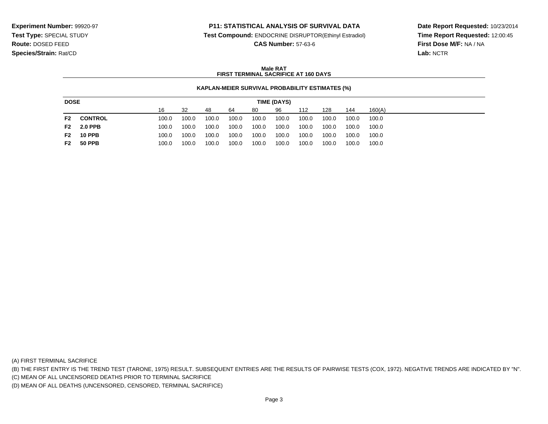### **P11: STATISTICAL ANALYSIS OF SURVIVAL DATA**

**Test Compound:** ENDOCRINE DISRUPTOR(Ethinyl Estradiol)

**CAS Number:** 57-63-6

**Date Report Requested:** 10/23/2014**Time Report Requested:** 12:00:45**First Dose M/F:** NA / NA**Lab:** NCTR

#### **Male RATFIRST TERMINAL SACRIFICE AT 160 DAYS**

#### **KAPLAN-MEIER SURVIVAL PROBABILITY ESTIMATES (%)**

| <b>DOSE</b><br>TIME (DAYS) |                |       |       |       |       |       |       |       |       |       |        |
|----------------------------|----------------|-------|-------|-------|-------|-------|-------|-------|-------|-------|--------|
|                            |                | 16    | -32   | 48    | 64    | 80    | 96    | 112   | 128   | 144   | 160(A) |
| F2                         | <b>CONTROL</b> | 100.0 | 100.0 | 100.0 | 100.0 | 100.0 | 100.0 | 100.0 | 100.0 | 100.0 | 100.0  |
| F2                         | <b>2.0 PPB</b> | 100.0 | 100.0 | 100.0 | 100.0 | 100.0 | 100.0 | 100.0 | 100.0 | 100.0 | 100.0  |
| F2                         | <b>10 PPB</b>  | 100.0 | 100.0 | 100.0 | 100.0 | 100.0 | 100.0 | 100.0 | 100.0 | 100.0 | 100.0  |
| F2                         | <b>50 PPB</b>  | 100.0 | 100.0 | 100.0 | 100.0 | 100.0 | 100.0 | 100.0 | 100.0 | 100.0 | 100.0  |

(A) FIRST TERMINAL SACRIFICE

(B) THE FIRST ENTRY IS THE TREND TEST (TARONE, 1975) RESULT. SUBSEQUENT ENTRIES ARE THE RESULTS OF PAIRWISE TESTS (COX, 1972). NEGATIVE TRENDS ARE INDICATED BY "N".

(C) MEAN OF ALL UNCENSORED DEATHS PRIOR TO TERMINAL SACRIFICE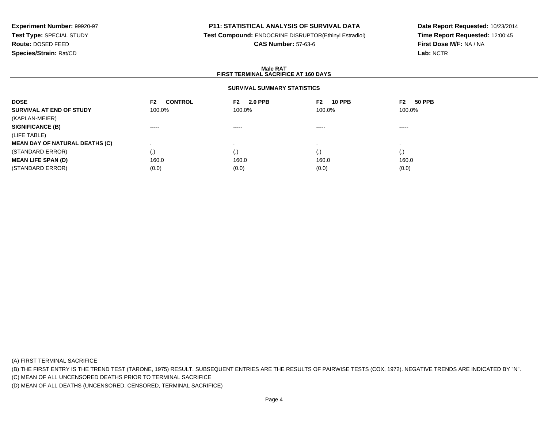# **P11: STATISTICAL ANALYSIS OF SURVIVAL DATA**

**Test Compound:** ENDOCRINE DISRUPTOR(Ethinyl Estradiol)

**CAS Number:** 57-63-6

**Date Report Requested:** 10/23/2014**Time Report Requested:** 12:00:45**First Dose M/F:** NA / NA**Lab:** NCTR

#### **Male RATFIRST TERMINAL SACRIFICE AT 160 DAYS**

# **SURVIVAL SUMMARY STATISTICS**

| <b>DOSE</b>                           | <b>CONTROL</b><br>F2 | <b>2.0 PPB</b><br>F2 | <b>10 PPB</b><br>F2 | F2<br><b>50 PPB</b> |  |
|---------------------------------------|----------------------|----------------------|---------------------|---------------------|--|
| SURVIVAL AT END OF STUDY              | 100.0%               | 100.0%               | 100.0%              | 100.0%              |  |
| (KAPLAN-MEIER)                        |                      |                      |                     |                     |  |
| <b>SIGNIFICANCE (B)</b>               | -----                | $\cdots$             | -----               | ------              |  |
| (LIFE TABLE)                          |                      |                      |                     |                     |  |
| <b>MEAN DAY OF NATURAL DEATHS (C)</b> |                      |                      |                     |                     |  |
| (STANDARD ERROR)                      | (.)                  |                      | (.)                 | (.)                 |  |
| <b>MEAN LIFE SPAN (D)</b>             | 160.0                | 160.0                | 160.0               | 160.0               |  |
| (STANDARD ERROR)                      | (0.0)                | (0.0)                | (0.0)               | (0.0)               |  |

(A) FIRST TERMINAL SACRIFICE

(B) THE FIRST ENTRY IS THE TREND TEST (TARONE, 1975) RESULT. SUBSEQUENT ENTRIES ARE THE RESULTS OF PAIRWISE TESTS (COX, 1972). NEGATIVE TRENDS ARE INDICATED BY "N".

(C) MEAN OF ALL UNCENSORED DEATHS PRIOR TO TERMINAL SACRIFICE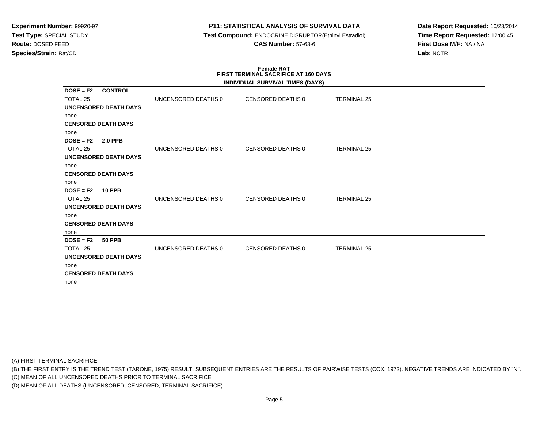### **P11: STATISTICAL ANALYSIS OF SURVIVAL DATA**

 **Test Compound:** ENDOCRINE DISRUPTOR(Ethinyl Estradiol)**CAS Number:** 57-63-6

**Date Report Requested:** 10/23/2014**Time Report Requested:** 12:00:45**First Dose M/F:** NA / NA**Lab:** NCTR

#### **Female RAT FIRST TERMINAL SACRIFICE AT 160 DAYSINDIVIDUAL SURVIVAL TIMES (DAYS)**

|                                           |                     | INDIVIDUAL SURVIVAL TIMES (DAYS) |                    |  |
|-------------------------------------------|---------------------|----------------------------------|--------------------|--|
| <b>CONTROL</b><br>$DOSE = F2$<br>TOTAL 25 | UNCENSORED DEATHS 0 | CENSORED DEATHS 0                | <b>TERMINAL 25</b> |  |
|                                           |                     |                                  |                    |  |
| UNCENSORED DEATH DAYS                     |                     |                                  |                    |  |
| none                                      |                     |                                  |                    |  |
| <b>CENSORED DEATH DAYS</b>                |                     |                                  |                    |  |
| none                                      |                     |                                  |                    |  |
| $DOSE = F2$<br><b>2.0 PPB</b>             |                     |                                  |                    |  |
| TOTAL 25                                  | UNCENSORED DEATHS 0 | CENSORED DEATHS 0                | <b>TERMINAL 25</b> |  |
| UNCENSORED DEATH DAYS                     |                     |                                  |                    |  |
| none                                      |                     |                                  |                    |  |
| <b>CENSORED DEATH DAYS</b>                |                     |                                  |                    |  |
| none                                      |                     |                                  |                    |  |
| $DOSE = F2$<br><b>10 PPB</b>              |                     |                                  |                    |  |
| TOTAL 25                                  | UNCENSORED DEATHS 0 | <b>CENSORED DEATHS 0</b>         | <b>TERMINAL 25</b> |  |
| <b>UNCENSORED DEATH DAYS</b>              |                     |                                  |                    |  |
| none                                      |                     |                                  |                    |  |
| <b>CENSORED DEATH DAYS</b>                |                     |                                  |                    |  |
| none                                      |                     |                                  |                    |  |
| $DOSE = F2$<br><b>50 PPB</b>              |                     |                                  |                    |  |
| TOTAL 25                                  | UNCENSORED DEATHS 0 | <b>CENSORED DEATHS 0</b>         | <b>TERMINAL 25</b> |  |
| UNCENSORED DEATH DAYS                     |                     |                                  |                    |  |
| none                                      |                     |                                  |                    |  |
| <b>CENSORED DEATH DAYS</b>                |                     |                                  |                    |  |
| none                                      |                     |                                  |                    |  |
|                                           |                     |                                  |                    |  |

(A) FIRST TERMINAL SACRIFICE

(B) THE FIRST ENTRY IS THE TREND TEST (TARONE, 1975) RESULT. SUBSEQUENT ENTRIES ARE THE RESULTS OF PAIRWISE TESTS (COX, 1972). NEGATIVE TRENDS ARE INDICATED BY "N".

(C) MEAN OF ALL UNCENSORED DEATHS PRIOR TO TERMINAL SACRIFICE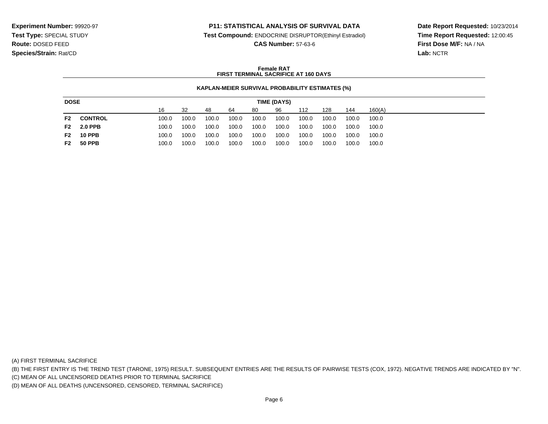#### **P11: STATISTICAL ANALYSIS OF SURVIVAL DATA**

**Test Compound:** ENDOCRINE DISRUPTOR(Ethinyl Estradiol)

**CAS Number:** 57-63-6

**Date Report Requested:** 10/23/2014**Time Report Requested:** 12:00:45**First Dose M/F:** NA / NA**Lab:** NCTR

#### **Female RATFIRST TERMINAL SACRIFICE AT 160 DAYS**

#### **KAPLAN-MEIER SURVIVAL PROBABILITY ESTIMATES (%)**

| <b>DOSE</b><br>TIME (DAYS) |                |       |       |       |       |       |       |       |       |       |        |
|----------------------------|----------------|-------|-------|-------|-------|-------|-------|-------|-------|-------|--------|
|                            |                | 16    | -32   | 48    | 64    | 80    | 96    | 112   | 128   | 144   | 160(A) |
| F2                         | <b>CONTROL</b> | 100.0 | 100.0 | 100.0 | 100.0 | 100.0 | 100.0 | 100.0 | 100.0 | 100.0 | 100.0  |
| F2                         | <b>2.0 PPB</b> | 100.0 | 100.0 | 100.0 | 100.0 | 100.0 | 100.0 | 100.0 | 100.0 | 100.0 | 100.0  |
| F2                         | <b>10 PPB</b>  | 100.0 | 100.0 | 100.0 | 100.0 | 100.0 | 100.0 | 100.0 | 100.0 | 100.0 | 100.0  |
| F2                         | <b>50 PPB</b>  | 100.0 | 100.0 | 100.0 | 100.0 | 100.0 | 100.0 | 100.0 | 100.0 | 100.0 | 100.0  |

(A) FIRST TERMINAL SACRIFICE

(B) THE FIRST ENTRY IS THE TREND TEST (TARONE, 1975) RESULT. SUBSEQUENT ENTRIES ARE THE RESULTS OF PAIRWISE TESTS (COX, 1972). NEGATIVE TRENDS ARE INDICATED BY "N".

(C) MEAN OF ALL UNCENSORED DEATHS PRIOR TO TERMINAL SACRIFICE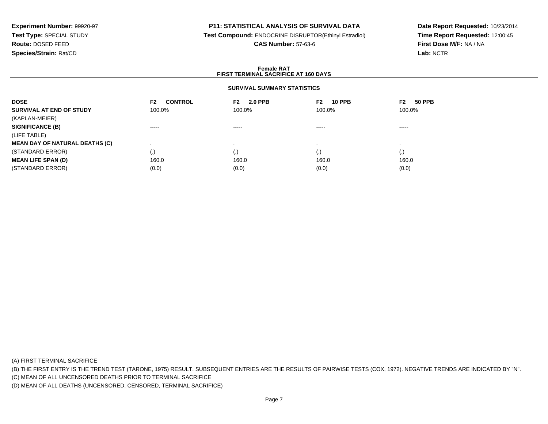# **P11: STATISTICAL ANALYSIS OF SURVIVAL DATA**

**Test Compound:** ENDOCRINE DISRUPTOR(Ethinyl Estradiol)

**CAS Number:** 57-63-6

**Date Report Requested:** 10/23/2014**Time Report Requested:** 12:00:45**First Dose M/F:** NA / NA**Lab:** NCTR

#### **Female RATFIRST TERMINAL SACRIFICE AT 160 DAYS**

### **SURVIVAL SUMMARY STATISTICS**

| <b>CONTROL</b><br>F2 | <b>2.0 PPB</b><br>F2 | <b>10 PPB</b><br>F2 | F2<br><b>50 PPB</b> |
|----------------------|----------------------|---------------------|---------------------|
| 100.0%               | 100.0%               | 100.0%              | 100.0%              |
|                      |                      |                     |                     |
| $\cdots$             | $\cdots$             | $\cdots$            | ------              |
|                      |                      |                     |                     |
|                      |                      |                     |                     |
| (.)                  | ( . J                | (.)                 | (.)                 |
| 160.0                | 160.0                | 160.0               | 160.0               |
| (0.0)                | (0.0)                | (0.0)               | (0.0)               |
|                      |                      |                     |                     |

(A) FIRST TERMINAL SACRIFICE

(B) THE FIRST ENTRY IS THE TREND TEST (TARONE, 1975) RESULT. SUBSEQUENT ENTRIES ARE THE RESULTS OF PAIRWISE TESTS (COX, 1972). NEGATIVE TRENDS ARE INDICATED BY "N".

(C) MEAN OF ALL UNCENSORED DEATHS PRIOR TO TERMINAL SACRIFICE